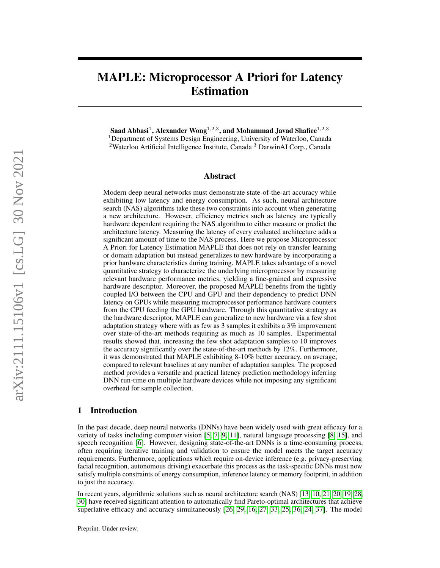# MAPLE: Microprocessor A Priori for Latency Estimation

Saad Abbasi $^1$ , Alexander Wong $^{1,2,3}$ , and Mohammad Javad Shafiee $^{1,2,3}$ <sup>1</sup>Department of Systems Design Engineering, University of Waterloo, Canada <sup>2</sup>Waterloo Artificial Intelligence Institute, Canada <sup>3</sup> DarwinAI Corp., Canada

## Abstract

Modern deep neural networks must demonstrate state-of-the-art accuracy while exhibiting low latency and energy consumption. As such, neural architecture search (NAS) algorithms take these two constraints into account when generating a new architecture. However, efficiency metrics such as latency are typically hardware dependent requiring the NAS algorithm to either measure or predict the architecture latency. Measuring the latency of every evaluated architecture adds a significant amount of time to the NAS process. Here we propose Microprocessor A Priori for Latency Estimation MAPLE that does not rely on transfer learning or domain adaptation but instead generalizes to new hardware by incorporating a prior hardware characteristics during training. MAPLE takes advantage of a novel quantitative strategy to characterize the underlying microprocessor by measuring relevant hardware performance metrics, yielding a fine-grained and expressive hardware descriptor. Moreover, the proposed MAPLE benefits from the tightly coupled I/O between the CPU and GPU and their dependency to predict DNN latency on GPUs while measuring microprocessor performance hardware counters from the CPU feeding the GPU hardware. Through this quantitative strategy as the hardware descriptor, MAPLE can generalize to new hardware via a few shot adaptation strategy where with as few as 3 samples it exhibits a 3% improvement over state-of-the-art methods requiring as much as 10 samples. Experimental results showed that, increasing the few shot adaptation samples to 10 improves the accuracy significantly over the state-of-the-art methods by 12%. Furthermore, it was demonstrated that MAPLE exhibiting 8-10% better accuracy, on average, compared to relevant baselines at any number of adaptation samples. The proposed method provides a versatile and practical latency prediction methodology inferring DNN run-time on multiple hardware devices while not imposing any significant overhead for sample collection.

## 1 Introduction

In the past decade, deep neural networks (DNNs) have been widely used with great efficacy for a variety of tasks including computer vision [\[5,](#page-9-0) [7,](#page-9-1) [9,](#page-9-2) [11\]](#page-9-3), natural language processing [\[8,](#page-9-4) [15\]](#page-9-5), and speech recognition [\[6\]](#page-9-6). However, designing state-of-the-art DNNs is a time-consuming process, often requiring iterative training and validation to ensure the model meets the target accuracy requirements. Furthermore, applications which require on-device inference (e.g. privacy-preserving facial recognition, autonomous driving) exacerbate this process as the task-specific DNNs must now satisfy multiple constraints of energy consumption, inference latency or memory footprint, in addition to just the accuracy.

In recent years, algorithmic solutions such as neural architecture search (NAS) [\[13,](#page-9-7) [10,](#page-9-8) [21,](#page-9-9) [20,](#page-9-10) [19,](#page-9-11) [28,](#page-10-0) [30\]](#page-10-1) have received significant attention to automatically find Pareto-optimal architectures that achieve superlative efficacy and accuracy simultaneously [\[26,](#page-10-2) [29,](#page-10-3) [16,](#page-9-12) [27,](#page-10-4) [33,](#page-10-5) [25,](#page-10-6) [36,](#page-10-7) [24,](#page-10-8) [37\]](#page-10-9). The model

Preprint. Under review.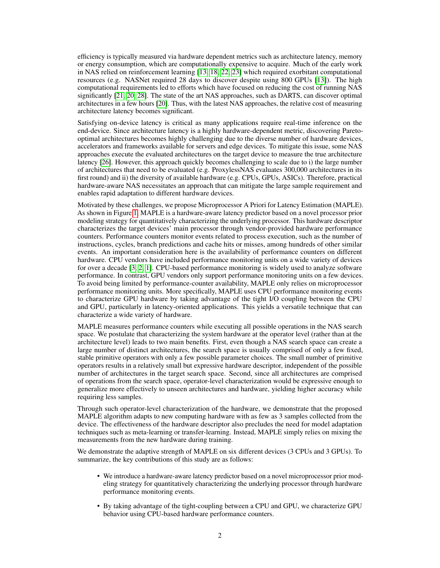efficiency is typically measured via hardware dependent metrics such as architecture latency, memory or energy consumption, which are computationally expensive to acquire. Much of the early work in NAS relied on reinforcement learning [\[13,](#page-9-7) [18,](#page-9-13) [22,](#page-9-14) [23\]](#page-10-10) which required exorbitant computational resources (e.g. NASNet required 28 days to discover despite using 800 GPUs [\[13\]](#page-9-7)). The high computational requirements led to efforts which have focused on reducing the cost of running NAS significantly [\[21,](#page-9-9) [20,](#page-9-10) [28\]](#page-10-0). The state of the art NAS approaches, such as DARTS, can discover optimal architectures in a few hours [\[20\]](#page-9-10). Thus, with the latest NAS approaches, the relative cost of measuring architecture latency becomes significant.

Satisfying on-device latency is critical as many applications require real-time inference on the end-device. Since architecture latency is a highly hardware-dependent metric, discovering Paretooptimal architectures becomes highly challenging due to the diverse number of hardware devices, accelerators and frameworks available for servers and edge devices. To mitigate this issue, some NAS approaches execute the evaluated architectures on the target device to measure the true architecture latency [\[26\]](#page-10-2). However, this approach quickly becomes challenging to scale due to i) the large number of architectures that need to be evaluated (e.g. ProxylessNAS evaluates 300,000 architectures in its first round) and ii) the diversity of available hardware (e.g. CPUs, GPUs, ASICs). Therefore, practical hardware-aware NAS necessitates an approach that can mitigate the large sample requirement and enables rapid adaptation to different hardware devices.

Motivated by these challenges, we propose Microprocessor A Priori for Latency Estimation (MAPLE). As shown in Figure [1,](#page-2-0) MAPLE is a hardware-aware latency predictor based on a novel processor prior modeling strategy for quantitatively characterizing the underlying processor. This hardware descriptor characterizes the target devices' main processor through vendor-provided hardware performance counters. Performance counters monitor events related to process execution, such as the number of instructions, cycles, branch predictions and cache hits or misses, among hundreds of other similar events. An important consideration here is the availability of performance counters on different hardware. CPU vendors have included performance monitoring units on a wide variety of devices for over a decade [\[3,](#page-9-15) [2,](#page-9-16) [1\]](#page-9-17). CPU-based performance monitoring is widely used to analyze software performance. In contrast, GPU vendors only support performance monitoring units on a few devices. To avoid being limited by performance-counter availability, MAPLE only relies on microprocessor performance monitoring units. More specifically, MAPLE uses CPU performance monitoring events to characterize GPU hardware by taking advantage of the tight I/O coupling between the CPU and GPU, particularly in latency-oriented applications. This yields a versatile technique that can characterize a wide variety of hardware.

MAPLE measures performance counters while executing all possible operations in the NAS search space. We postulate that characterizing the system hardware at the operator level (rather than at the architecture level) leads to two main benefits. First, even though a NAS search space can create a large number of distinct architectures, the search space is usually comprised of only a few fixed, stable primitive operators with only a few possible parameter choices. The small number of primitive operators results in a relatively small but expressive hardware descriptor, independent of the possible number of architectures in the target search space. Second, since all architectures are comprised of operations from the search space, operator-level characterization would be expressive enough to generalize more effectively to unseen architectures and hardware, yielding higher accuracy while requiring less samples.

Through such operator-level characterization of the hardware, we demonstrate that the proposed MAPLE algorithm adapts to new computing hardware with as few as 3 samples collected from the device. The effectiveness of the hardware descriptor also precludes the need for model adaptation techniques such as meta-learning or transfer-learning. Instead, MAPLE simply relies on mixing the measurements from the new hardware during training.

We demonstrate the adaptive strength of MAPLE on six different devices (3 CPUs and 3 GPUs). To summarize, the key contributions of this study are as follows:

- We introduce a hardware-aware latency predictor based on a novel microprocessor prior modeling strategy for quantitatively characterizing the underlying processor through hardware performance monitoring events.
- By taking advantage of the tight-coupling between a CPU and GPU, we characterize GPU behavior using CPU-based hardware performance counters.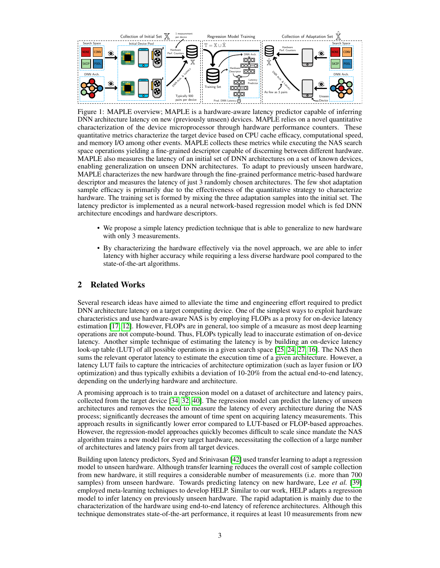<span id="page-2-0"></span>

Figure 1: MAPLE overview; MAPLE is a hardware-aware latency predictor capable of inferring DNN architecture latency on new (previously unseen) devices. MAPLE relies on a novel quantitative characterization of the device microprocessor through hardware performance counters. These quantitative metrics characterize the target device based on CPU cache efficacy, computational speed, and memory I/O among other events. MAPLE collects these metrics while executing the NAS search space operations yielding a fine-grained descriptor capable of discerning between different hardware. MAPLE also measures the latency of an initial set of DNN architectures on a set of known devices, enabling generalization on unseen DNN architectures. To adapt to previously unseen hardware, MAPLE characterizes the new hardware through the fine-grained performance metric-based hardware descriptor and measures the latency of just 3 randomly chosen architectures. The few shot adaptation sample efficacy is primarily due to the effectiveness of the quantitative strategy to characterize hardware. The training set is formed by mixing the three adaptation samples into the initial set. The latency predictor is implemented as a neural network-based regression model which is fed DNN architecture encodings and hardware descriptors.

- We propose a simple latency prediction technique that is able to generalize to new hardware with only 3 measurements.
- By characterizing the hardware effectively via the novel approach, we are able to infer latency with higher accuracy while requiring a less diverse hardware pool compared to the state-of-the-art algorithms.

## 2 Related Works

Several research ideas have aimed to alleviate the time and engineering effort required to predict DNN architecture latency on a target computing device. One of the simplest ways to exploit hardware characteristics and use hardware-aware NAS is by employing FLOPs as a proxy for on-device latency estimation [\[17,](#page-9-18) [12\]](#page-9-19). However, FLOPs are in general, too simple of a measure as most deep learning operations are not compute-bound. Thus, FLOPs typically lead to inaccurate estimation of on-device latency. Another simple technique of estimating the latency is by building an on-device latency look-up table (LUT) of all possible operations in a given search space [\[25,](#page-10-6) [24,](#page-10-8) [27,](#page-10-4) [16\]](#page-9-12). The NAS then sums the relevant operator latency to estimate the execution time of a given architecture. However, a latency LUT fails to capture the intricacies of architecture optimization (such as layer fusion or I/O optimization) and thus typically exhibits a deviation of 10-20% from the actual end-to-end latency, depending on the underlying hardware and architecture.

A promising approach is to train a regression model on a dataset of architecture and latency pairs, collected from the target device [\[34,](#page-10-11) [32,](#page-10-12) [40\]](#page-10-13). The regression model can predict the latency of unseen architectures and removes the need to measure the latency of every architecture during the NAS process; significantly decreases the amount of time spent on acquiring latency measurements. This approach results in significantly lower error compared to LUT-based or FLOP-based approaches. However, the regression-model approaches quickly becomes difficult to scale since mandate the NAS algorithm trains a new model for every target hardware, necessitating the collection of a large number of architectures and latency pairs from all target devices.

Building upon latency predictors, Syed and Srinivasan [\[42\]](#page-10-14) used transfer learning to adapt a regression model to unseen hardware. Although transfer learning reduces the overall cost of sample collection from new hardware, it still requires a considerable number of measurements (i.e. more than 700 samples) from unseen hardware. Towards predicting latency on new hardware, Lee *et al.* [\[39\]](#page-10-15) employed meta-learning techniques to develop HELP. Similar to our work, HELP adapts a regression model to infer latency on previously unseen hardware. The rapid adaptation is mainly due to the characterization of the hardware using end-to-end latency of reference architectures. Although this technique demonstrates state-of-the-art performance, it requires at least 10 measurements from new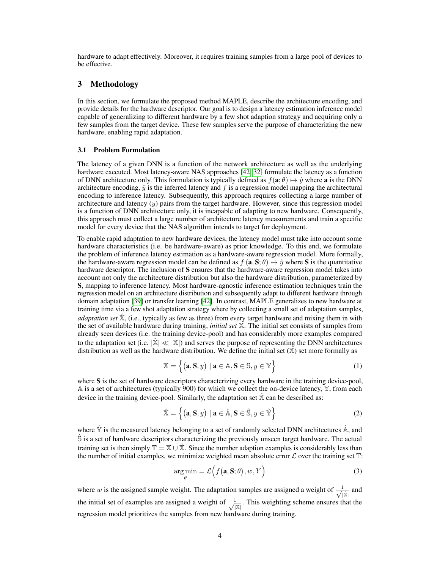hardware to adapt effectively. Moreover, it requires training samples from a large pool of devices to be effective.

# 3 Methodology

In this section, we formulate the proposed method MAPLE, describe the architecture encoding, and provide details for the hardware descriptor. Our goal is to design a latency estimation inference model capable of generalizing to different hardware by a few shot adaption strategy and acquiring only a few samples from the target device. These few samples serve the purpose of characterizing the new hardware, enabling rapid adaptation.

## 3.1 Problem Formulation

The latency of a given DNN is a function of the network architecture as well as the underlying hardware executed. Most latency-aware NAS approaches [\[42,](#page-10-14) [32\]](#page-10-12) formulate the latency as a function of DNN architecture only. This formulation is typically defined as  $f(\mathbf{a}; \theta) \mapsto \hat{y}$  where a is the DNN architecture encoding,  $\hat{y}$  is the inferred latency and f is a regression model mapping the architectural encoding to inference latency. Subsequently, this approach requires collecting a large number of architecture and latency  $(y)$  pairs from the target hardware. However, since this regression model is a function of DNN architecture only, it is incapable of adapting to new hardware. Consequently, this approach must collect a large number of architecture latency measurements and train a specific model for every device that the NAS algorithm intends to target for deployment.

To enable rapid adaptation to new hardware devices, the latency model must take into account some hardware characteristics (i.e. be hardware-aware) as prior knowledge. To this end, we formulate the problem of inference latency estimation as a hardware-aware regression model. More formally, the hardware-aware regression model can be defined as  $f(\mathbf{a}, \mathbf{S}; \theta) \mapsto \hat{y}$  where S is the quantitative hardware descriptor. The inclusion of S ensures that the hardware-aware regression model takes into account not only the architecture distribution but also the hardware distribution, parameterized by S, mapping to inference latency. Most hardware-agnostic inference estimation techniques train the regression model on an architecture distribution and subsequently adapt to different hardware through domain adaptation [\[39\]](#page-10-15) or transfer learning [\[42\]](#page-10-14). In contrast, MAPLE generalizes to new hardware at training time via a few shot adaptation strategy where by collecting a small set of adaptation samples, *adaptation set* X, (i.e., typically as few as three) from every target hardware and mixing them in with the set of available hardware during training, *initial set* X. The initial set consists of samples from already seen devices (i.e. the training device-pool) and has considerably more examples compared to the adaptation set (i.e.  $|\mathbf{\hat{X}}| \ll |\mathbf{X}|$ ) and serves the purpose of representing the DNN architectures distribution as well as the hardware distribution. We define the initial set  $(X)$  set more formally as

$$
\mathbb{X} = \left\{ (\mathbf{a}, \mathbf{S}, y) \mid \mathbf{a} \in \mathbb{A}, \mathbf{S} \in \mathbb{S}, y \in \mathbb{Y} \right\}
$$
 (1)

where S is the set of hardware descriptors characterizing every hardware in the training device-pool, A is a set of architectures (typically 900) for which we collect the on-device latency, Y, from each device in the training device-pool. Similarly, the adaptation set  $\hat{\mathbb{X}}$  can be described as:

$$
\hat{\mathbb{X}} = \left\{ (\mathbf{a}, \mathbf{S}, y) \mid \mathbf{a} \in \hat{\mathbb{A}}, \mathbf{S} \in \hat{\mathbb{S}}, y \in \hat{\mathbb{Y}} \right\}
$$
(2)

where  $\hat{Y}$  is the measured latency belonging to a set of randomly selected DNN architectures  $\hat{A}$ , and S is a set of hardware descriptors characterizing the previously unseen target hardware. The actual training set is then simply  $\mathbb{T} = \mathbb{X} \cup \mathbb{X}$ . Since the number adaption examples is considerably less than the number of initial examples, we minimize weighted mean absolute error  $\mathcal L$  over the training set  $\mathbb T$ :

$$
\underset{\theta}{\arg\min} = \mathcal{L}\Big(f\big(\mathbf{a}, \mathbf{S}; \theta\big), w, Y\Big) \tag{3}
$$

where w is the assigned sample weight. The adaptation samples are assigned a weight of  $\frac{1}{\sqrt{2}}$  $\frac{1}{|\hat{\mathbb{X}}|}$  and the initial set of examples are assigned a weight of  $\frac{1}{\sqrt{2}}$  $\frac{1}{|X|}$ . This weighting scheme ensures that the regression model prioritizes the samples from new hardware during training.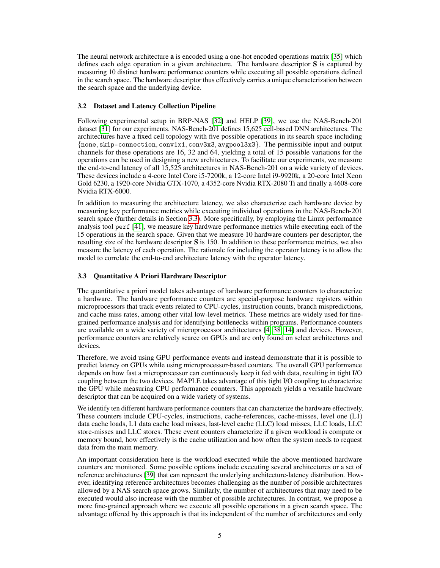The neural network architecture a is encoded using a one-hot encoded operations matrix [\[35\]](#page-10-16) which defines each edge operation in a given architecture. The hardware descriptor S is captured by measuring 10 distinct hardware performance counters while executing all possible operations defined in the search space. The hardware descriptor thus effectively carries a unique characterization between the search space and the underlying device.

## <span id="page-4-1"></span>3.2 Dataset and Latency Collection Pipeline

Following experimental setup in BRP-NAS [\[32\]](#page-10-12) and HELP [\[39\]](#page-10-15), we use the NAS-Bench-201 dataset [\[31\]](#page-10-17) for our experiments. NAS-Bench-201 defines 15,625 cell-based DNN architectures. The architectures have a fixed cell topology with five possible operations in its search space including {none, skip-connection, conv1x1, conv3x3, avgpool3x3}. The permissible input and output channels for these operations are 16, 32 and 64, yielding a total of 15 possible variations for the operations can be used in designing a new architectures. To facilitate our experiments, we measure the end-to-end latency of all 15,525 architectures in NAS-Bench-201 on a wide variety of devices. These devices include a 4-core Intel Core i5-7200k, a 12-core Intel i9-9920k, a 20-core Intel Xeon Gold 6230, a 1920-core Nvidia GTX-1070, a 4352-core Nvidia RTX-2080 Ti and finally a 4608-core Nvidia RTX-6000.

In addition to measuring the architecture latency, we also characterize each hardware device by measuring key performance metrics while executing individual operations in the NAS-Bench-201 search space (further details in Section [3.3\)](#page-4-0). More specifically, by employing the Linux performance analysis tool perf [\[41\]](#page-10-18), we measure key hardware performance metrics while executing each of the 15 operations in the search space. Given that we measure 10 hardware counters per descriptor, the resulting size of the hardware descriptor  $S$  is 150. In addition to these performance metrics, we also measure the latency of each operation. The rationale for including the operator latency is to allow the model to correlate the end-to-end architecture latency with the operator latency.

## <span id="page-4-0"></span>3.3 Quantitative A Priori Hardware Descriptor

The quantitative a priori model takes advantage of hardware performance counters to characterize a hardware. The hardware performance counters are special-purpose hardware registers within microprocessors that track events related to CPU-cycles, instruction counts, branch mispredictions, and cache miss rates, among other vital low-level metrics. These metrics are widely used for finegrained performance analysis and for identifying bottlenecks within programs. Performance counters are available on a wide variety of microprocessor architectures [\[4,](#page-9-20) [38,](#page-10-19) [14\]](#page-9-21) and devices. However, performance counters are relatively scarce on GPUs and are only found on select architectures and devices.

Therefore, we avoid using GPU performance events and instead demonstrate that it is possible to predict latency on GPUs while using microprocessor-based counters. The overall GPU performance depends on how fast a microprocessor can continuously keep it fed with data, resulting in tight I/O coupling between the two devices. MAPLE takes advantage of this tight I/O coupling to characterize the GPU while measuring CPU performance counters. This approach yields a versatile hardware descriptor that can be acquired on a wide variety of systems.

We identify ten different hardware performance counters that can characterize the hardware effectively. These counters include CPU-cycles, instructions, cache-references, cache-misses, level one (L1) data cache loads, L1 data cache load misses, last-level cache (LLC) load misses, LLC loads, LLC store-misses and LLC stores. These event counters characterize if a given workload is compute or memory bound, how effectively is the cache utilization and how often the system needs to request data from the main memory.

An important consideration here is the workload executed while the above-mentioned hardware counters are monitored. Some possible options include executing several architectures or a set of reference architectures [\[39\]](#page-10-15) that can represent the underlying architecture-latency distribution. However, identifying reference architectures becomes challenging as the number of possible architectures allowed by a NAS search space grows. Similarly, the number of architectures that may need to be executed would also increase with the number of possible architectures. In contrast, we propose a more fine-grained approach where we execute all possible operations in a given search space. The advantage offered by this approach is that its independent of the number of architectures and only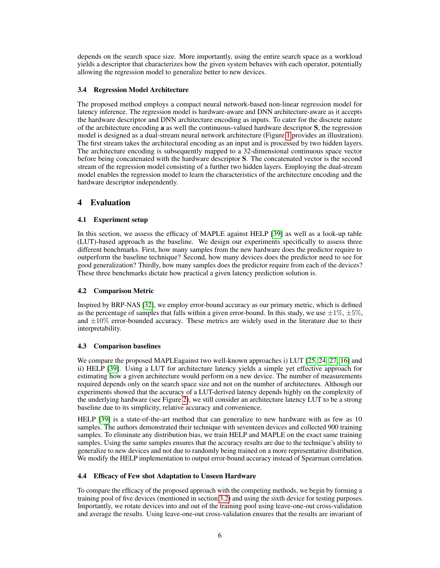depends on the search space size. More importantly, using the entire search space as a workload yields a descriptor that characterizes how the given system behaves with each operator, potentially allowing the regression model to generalize better to new devices.

## 3.4 Regression Model Architecture

The proposed method employs a compact neural network-based non-linear regression model for latency inference. The regression model is hardware-aware and DNN architecture-aware as it accepts the hardware descriptor and DNN architecture encoding as inputs. To cater for the discrete nature of the architecture encoding a as well the continuous-valued hardware descriptor S, the regression model is designed as a dual-stream neural network architecture (Figure [1](#page-2-0) provides an illustration). The first stream takes the architectural encoding as an input and is processed by two hidden layers. The architecture encoding is subsequently mapped to a 32-dimensional continuous space vector before being concatenated with the hardware descriptor S. The concatenated vector is the second stream of the regression model consisting of a further two hidden layers. Employing the dual-stream model enables the regression model to learn the characteristics of the architecture encoding and the hardware descriptor independently.

# 4 Evaluation

# 4.1 Experiment setup

In this section, we assess the efficacy of MAPLE against HELP [\[39\]](#page-10-15) as well as a look-up table (LUT)-based approach as the baseline. We design our experiments specifically to assess three different benchmarks. First, how many samples from the new hardware does the predictor require to outperform the baseline technique? Second, how many devices does the predictor need to see for good generalization? Thirdly, how many samples does the predictor require from each of the devices? These three benchmarks dictate how practical a given latency prediction solution is.

# 4.2 Comparison Metric

Inspired by BRP-NAS [\[32\]](#page-10-12), we employ error-bound accuracy as our primary metric, which is defined as the percentage of samples that falls within a given error-bound. In this study, we use  $\pm 1\%$ ,  $\pm 5\%$ , and  $\pm 10\%$  error-bounded accuracy. These metrics are widely used in the literature due to their interpretability.

## 4.3 Comparison baselines

We compare the proposed MAPLEagainst two well-known approaches i) LUT [\[25,](#page-10-6) [24,](#page-10-8) [27,](#page-10-4) [16\]](#page-9-12) and ii) HELP [\[39\]](#page-10-15). Using a LUT for architecture latency yields a simple yet effective approach for estimating how a given architecture would perform on a new device. The number of measurements required depends only on the search space size and not on the number of architectures. Although our experiments showed that the accuracy of a LUT-derived latency depends highly on the complexity of the underlying hardware (see Figure [2\)](#page-6-0), we still consider an architecture latency LUT to be a strong baseline due to its simplicity, relative accuracy and convenience.

HELP [\[39\]](#page-10-15) is a state-of-the-art method that can generalize to new hardware with as few as 10 samples. The authors demonstrated their technique with seventeen devices and collected 900 training samples. To eliminate any distribution bias, we train HELP and MAPLE on the exact same training samples. Using the same samples ensures that the accuracy results are due to the technique's ability to generalize to new devices and not due to randomly being trained on a more representative distribution. We modify the HELP implementation to output error-bound accuracy instead of Spearman correlation.

# <span id="page-5-0"></span>4.4 Efficacy of Few shot Adaptation to Unseen Hardware

To compare the efficacy of the proposed approach with the competing methods, we begin by forming a training pool of five devices (mentioned in section [3.2\)](#page-4-1) and using the sixth device for testing purposes. Importantly, we rotate devices into and out of the training pool using leave-one-out cross-validation and average the results. Using leave-one-out cross-validation ensures that the results are invariant of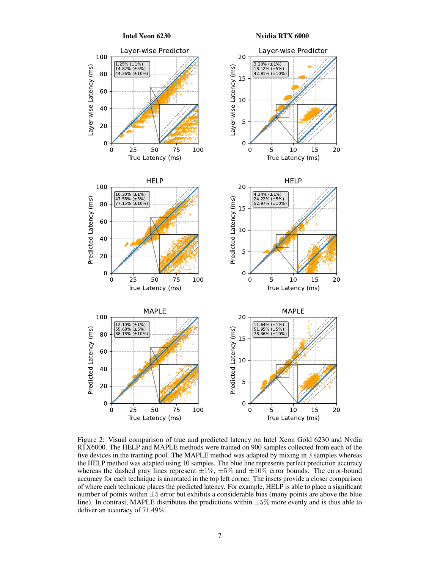<span id="page-6-0"></span>

Figure 2: Visual comparison of true and predicted latency on Intel Xeon Gold 6230 and Nvdia RTX6000. The HELP and MAPLE methods were trained on 900 samples collected from each of the five devices in the training pool. The MAPLE method was adapted by mixing in 3 samples whereas the HELP method was adapted using 10 samples. The blue line represents perfect prediction accuracy whereas the dashed gray lines represent  $\pm 1\%$ ,  $\pm 5\%$  and  $\pm 10\%$  error bounds. The error-bound accuracy for each technique is annotated in the top left corner. The insets provide a closer comparison of where each technique places the predicted latency. For example, HELP is able to place a significant number of points within  $\pm 5$  error but exhibits a considerable bias (many points are above the blue line). In contrast, MAPLE distributes the predictions within  $\pm 5\%$  more evenly and is thus able to deliver an accuracy of 71.49%.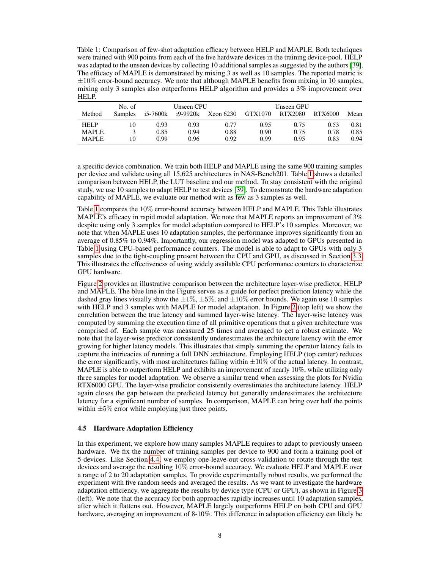<span id="page-7-0"></span>Table 1: Comparison of few-shot adaptation efficacy between HELP and MAPLE. Both techniques were trained with 900 points from each of the five hardware devices in the training device-pool. HELP was adapted to the unseen devices by collecting 10 additional samples as suggested by the authors [\[39\]](#page-10-15). The efficacy of MAPLE is demonstrated by mixing 3 as well as 10 samples. The reported metric is  $\pm 10\%$  error-bound accuracy. We note that although MAPLE benefits from mixing in 10 samples, mixing only 3 samples also outperforms HELP algorithm and provides a 3% improvement over HELP.

|              | No. of         |          | Unseen CPU |           |         | Unseen GPU |         |      |
|--------------|----------------|----------|------------|-----------|---------|------------|---------|------|
| Method       | <b>Samples</b> | i5-7600k | i9-9920k   | Xeon 6230 | GTX1070 | RTX2080    | RTX6000 | Mean |
| <b>HELP</b>  | 10             | 0.93     | 0.93       | 0.77      | 0.95    | 0.75       | 0.53    | 0.81 |
| <b>MAPLE</b> |                | 0.85     | 0.94       | 0.88      | 0.90    | 0.75       | 0.78    | 0.85 |
| <b>MAPLE</b> | 10             | 0.99     | 0.96       | 0.92      | 0.99    | 0.95       | 0.83    | 0.94 |

a specific device combination. We train both HELP and MAPLE using the same 900 training samples per device and validate using all 15,625 architectures in NAS-Bench201. Table [1](#page-7-0) shows a detailed comparison between HELP, the LUT baseline and our method. To stay consistent with the original study, we use 10 samples to adapt HELP to test devices [\[39\]](#page-10-15). To demonstrate the hardware adaptation capability of MAPLE, we evaluate our method with as few as 3 samples as well.

Table [1](#page-7-0) compares the 10% error-bound accuracy between HELP and MAPLE. This Table illustrates MAPLE's efficacy in rapid model adaptation. We note that MAPLE reports an improvement of 3% despite using only 3 samples for model adaptation compared to HELP's 10 samples. Moreover, we note that when MAPLE uses 10 adaptation samples, the performance improves significantly from an average of 0.85% to 0.94%. Importantly, our regression model was adapted to GPUs presented in Table [1](#page-7-0) using CPU-based performance counters. The model is able to adapt to GPUs with only 3 samples due to the tight-coupling present between the CPU and GPU, as discussed in Section [3.3.](#page-4-0) This illustrates the effectiveness of using widely available CPU performance counters to characterize GPU hardware.

Figure [2](#page-6-0) provides an illustrative comparison between the architecture layer-wise predictor, HELP and MAPLE. The blue line in the Figure serves as a guide for perfect prediction latency while the dashed gray lines visually show the  $\pm 1\%$ ,  $\pm 5\%$ , and  $\pm 10\%$  error bounds. We again use 10 samples with HELP and 3 samples with MAPLE for model adaptation. In Figure [2](#page-6-0) (top left) we show the correlation between the true latency and summed layer-wise latency. The layer-wise latency was computed by summing the execution time of all primitive operations that a given architecture was comprised of. Each sample was measured 25 times and averaged to get a robust estimate. We note that the layer-wise predictor consistently underestimates the architecture latency with the error growing for higher latency models. This illustrates that simply summing the operator latency fails to capture the intricacies of running a full DNN architecture. Employing HELP (top center) reduces the error significantly, with most architectures falling within  $\pm 10\%$  of the actual latency. In contrast, MAPLE is able to outperform HELP and exhibits an improvement of nearly 10%, while utilizing only three samples for model adaptation. We observe a similar trend when assessing the plots for Nvidia RTX6000 GPU. The layer-wise predictor consistently overestimates the architecture latency. HELP again closes the gap between the predicted latency but generally underestimates the architecture latency for a significant number of samples. In comparison, MAPLE can bring over half the points within  $\pm 5\%$  error while employing just three points.

## 4.5 Hardware Adaptation Efficiency

In this experiment, we explore how many samples MAPLE requires to adapt to previously unseen hardware. We fix the number of training samples per device to 900 and form a training pool of 5 devices. Like Section [4.4,](#page-5-0) we employ one-leave-out cross-validation to rotate through the test devices and average the resulting 10% error-bound accuracy. We evaluate HELP and MAPLE over a range of 2 to 20 adaptation samples. To provide experimentally robust results, we performed the experiment with five random seeds and averaged the results. As we want to investigate the hardware adaptation efficiency, we aggregate the results by device type (CPU or GPU), as shown in Figure [3](#page-8-0) (left). We note that the accuracy for both approaches rapidly increases until 10 adaptation samples, after which it flattens out. However, MAPLE largely outperforms HELP on both CPU and GPU hardware, averaging an improvement of 8-10%. This difference in adaptation efficiency can likely be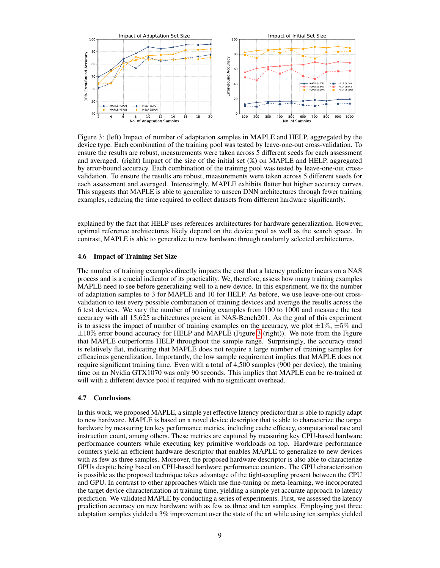<span id="page-8-0"></span>

Figure 3: (left) Impact of number of adaptation samples in MAPLE and HELP, aggregated by the device type. Each combination of the training pool was tested by leave-one-out cross-validation. To ensure the results are robust, measurements were taken across 5 different seeds for each assessment and averaged. (right) Impact of the size of the initial set  $(X)$  on MAPLE and HELP, aggregated by error-bound accuracy. Each combination of the training pool was tested by leave-one-out crossvalidation. To ensure the results are robust, measurements were taken across 5 different seeds for each assessment and averaged. Interestingly, MAPLE exhibits flatter but higher accuracy curves. This suggests that MAPLE is able to generalize to unseen DNN architectures through fewer training examples, reducing the time required to collect datasets from different hardware significantly.

explained by the fact that HELP uses references architectures for hardware generalization. However, optimal reference architectures likely depend on the device pool as well as the search space. In contrast, MAPLE is able to generalize to new hardware through randomly selected architectures.

#### 4.6 Impact of Training Set Size

The number of training examples directly impacts the cost that a latency predictor incurs on a NAS process and is a crucial indicator of its practicality. We, therefore, assess how many training examples MAPLE need to see before generalizing well to a new device. In this experiment, we fix the number of adaptation samples to 3 for MAPLE and 10 for HELP. As before, we use leave-one-out crossvalidation to test every possible combination of training devices and average the results across the 6 test devices. We vary the number of training examples from 100 to 1000 and measure the test accuracy with all 15,625 architectures present in NAS-Bench201. As the goal of this experiment is to assess the impact of number of training examples on the accuracy, we plot  $\pm 1\%$ ,  $\pm 5\%$  and ±10% error bound accuracy for HELP and MAPLE (Figure [3](#page-8-0) (right)). We note from the Figure that MAPLE outperforms HELP throughout the sample range. Surprisingly, the accuracy trend is relatively flat, indicating that MAPLE does not require a large number of training samples for efficacious generalization. Importantly, the low sample requirement implies that MAPLE does not require significant training time. Even with a total of 4,500 samples (900 per device), the training time on an Nvidia GTX1070 was only 90 seconds. This implies that MAPLE can be re-trained at will with a different device pool if required with no significant overhead.

#### 4.7 Conclusions

In this work, we proposed MAPLE, a simple yet effective latency predictor that is able to rapidly adapt to new hardware. MAPLE is based on a novel device descriptor that is able to characterize the target hardware by measuring ten key performance metrics, including cache efficacy, computational rate and instruction count, among others. These metrics are captured by measuring key CPU-based hardware performance counters while executing key primitive workloads on top. Hardware performance counters yield an efficient hardware descriptor that enables MAPLE to generalize to new devices with as few as three samples. Moreover, the proposed hardware descriptor is also able to characterize GPUs despite being based on CPU-based hardware performance counters. The GPU characterization is possible as the proposed technique takes advantage of the tight-coupling present between the CPU and GPU. In contrast to other approaches which use fine-tuning or meta-learning, we incorporated the target device characterization at training time, yielding a simple yet accurate approach to latency prediction. We validated MAPLE by conducting a series of experiments. First, we assessed the latency prediction accuracy on new hardware with as few as three and ten samples. Employing just three adaptation samples yielded a 3% improvement over the state of the art while using ten samples yielded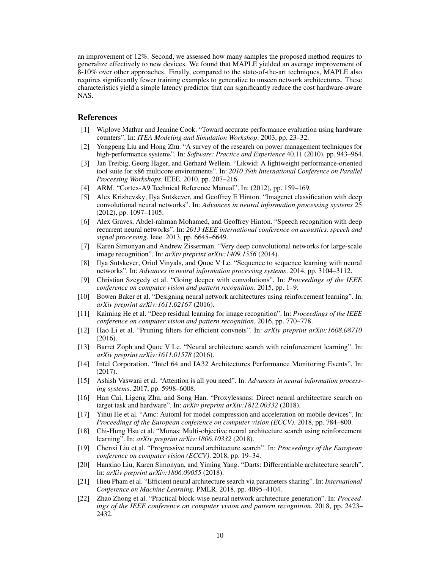an improvement of 12%. Second, we assessed how many samples the proposed method requires to generalize effectively to new devices. We found that MAPLE yielded an average improvement of 8-10% over other approaches. Finally, compared to the state-of-the-art techniques, MAPLE also requires significantly fewer training examples to generalize to unseen network architectures. These characteristics yield a simple latency predictor that can significantly reduce the cost hardware-aware NAS.

# **References**

- <span id="page-9-17"></span>[1] Wiplove Mathur and Jeanine Cook. "Toward accurate performance evaluation using hardware counters". In: *ITEA Modeling and Simulation Workshop*. 2003, pp. 23–32.
- <span id="page-9-16"></span>[2] Yongpeng Liu and Hong Zhu. "A survey of the research on power management techniques for high-performance systems". In: *Software: Practice and Experience* 40.11 (2010), pp. 943–964.
- <span id="page-9-15"></span>[3] Jan Treibig, Georg Hager, and Gerhard Wellein. "Likwid: A lightweight performance-oriented tool suite for x86 multicore environments". In: *2010 39th International Conference on Parallel Processing Workshops*. IEEE. 2010, pp. 207–216.
- <span id="page-9-20"></span>[4] ARM. "Cortex-A9 Technical Reference Manual". In: (2012), pp. 159–169.
- <span id="page-9-0"></span>[5] Alex Krizhevsky, Ilya Sutskever, and Geoffrey E Hinton. "Imagenet classification with deep convolutional neural networks". In: *Advances in neural information processing systems* 25 (2012), pp. 1097–1105.
- <span id="page-9-6"></span>[6] Alex Graves, Abdel-rahman Mohamed, and Geoffrey Hinton. "Speech recognition with deep recurrent neural networks". In: *2013 IEEE international conference on acoustics, speech and signal processing*. Ieee. 2013, pp. 6645–6649.
- <span id="page-9-1"></span>[7] Karen Simonyan and Andrew Zisserman. "Very deep convolutional networks for large-scale image recognition". In: *arXiv preprint arXiv:1409.1556* (2014).
- <span id="page-9-4"></span>[8] Ilya Sutskever, Oriol Vinyals, and Quoc V Le. "Sequence to sequence learning with neural networks". In: *Advances in neural information processing systems*. 2014, pp. 3104–3112.
- <span id="page-9-2"></span>[9] Christian Szegedy et al. "Going deeper with convolutions". In: *Proceedings of the IEEE conference on computer vision and pattern recognition*. 2015, pp. 1–9.
- <span id="page-9-8"></span>[10] Bowen Baker et al. "Designing neural network architectures using reinforcement learning". In: *arXiv preprint arXiv:1611.02167* (2016).
- <span id="page-9-3"></span>[11] Kaiming He et al. "Deep residual learning for image recognition". In: *Proceedings of the IEEE conference on computer vision and pattern recognition*. 2016, pp. 770–778.
- <span id="page-9-19"></span>[12] Hao Li et al. "Pruning filters for efficient convnets". In: *arXiv preprint arXiv:1608.08710* (2016).
- <span id="page-9-7"></span>[13] Barret Zoph and Quoc V Le. "Neural architecture search with reinforcement learning". In: *arXiv preprint arXiv:1611.01578* (2016).
- <span id="page-9-21"></span>[14] Intel Corporation. "Intel 64 and IA32 Architectures Performance Monitoring Events". In: (2017).
- <span id="page-9-5"></span>[15] Ashish Vaswani et al. "Attention is all you need". In: *Advances in neural information processing systems*. 2017, pp. 5998–6008.
- <span id="page-9-12"></span>[16] Han Cai, Ligeng Zhu, and Song Han. "Proxylessnas: Direct neural architecture search on target task and hardware". In: *arXiv preprint arXiv:1812.00332* (2018).
- <span id="page-9-18"></span>[17] Yihui He et al. "Amc: Automl for model compression and acceleration on mobile devices". In: *Proceedings of the European conference on computer vision (ECCV)*. 2018, pp. 784–800.
- <span id="page-9-13"></span>[18] Chi-Hung Hsu et al. "Monas: Multi-objective neural architecture search using reinforcement learning". In: *arXiv preprint arXiv:1806.10332* (2018).
- <span id="page-9-11"></span>[19] Chenxi Liu et al. "Progressive neural architecture search". In: *Proceedings of the European conference on computer vision (ECCV)*. 2018, pp. 19–34.
- <span id="page-9-10"></span>[20] Hanxiao Liu, Karen Simonyan, and Yiming Yang. "Darts: Differentiable architecture search". In: *arXiv preprint arXiv:1806.09055* (2018).
- <span id="page-9-9"></span>[21] Hieu Pham et al. "Efficient neural architecture search via parameters sharing". In: *International Conference on Machine Learning*. PMLR. 2018, pp. 4095–4104.
- <span id="page-9-14"></span>[22] Zhao Zhong et al. "Practical block-wise neural network architecture generation". In: *Proceedings of the IEEE conference on computer vision and pattern recognition*. 2018, pp. 2423– 2432.